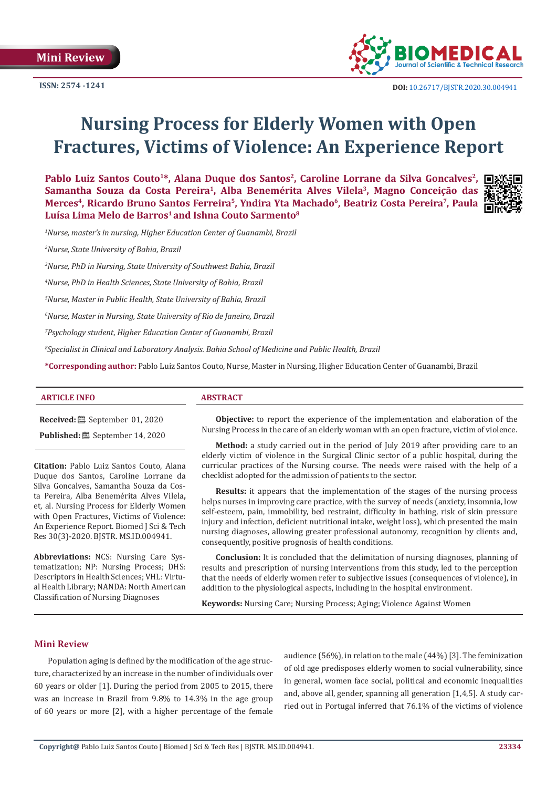**Mini Review**

**ISSN: 2574 -1241**



# **Nursing Process for Elderly Women with Open Fractures, Victims of Violence: An Experience Report**

Pablo Luiz Santos Couto<sup>1\*</sup>, Alana Duque dos Santos<sup>2</sup>, Caroline Lorrane da Silva Goncalves<sup>2</sup>, □※ Samantha Souza da Costa Pereira<sup>1</sup>, Alba Benemérita Alves Vilela<sup>3</sup>, Magno Conceição das Merces<sup>4</sup>, Ricardo Bruno Santos Ferreira<sup>5</sup>, Yndira Yta Machado<sup>6</sup>, Beatriz Costa Pereira<sup>7</sup>, Paula Luísa Lima Melo de Barros<sup>1</sup> and Ishna Couto Sarmento<sup>8</sup>



*1 Nurse, master's in nursing, Higher Education Center of Guanambi, Brazil*

*2 Nurse, State University of Bahia, Brazil*

*3 Nurse, PhD in Nursing, State University of Southwest Bahia, Brazil*

*4 Nurse, PhD in Health Sciences, State University of Bahia, Brazil*

*5 Nurse, Master in Public Health, State University of Bahia, Brazil* 

*6 Nurse, Master in Nursing, State University of Rio de Janeiro, Brazil*

*7 Psychology student, Higher Education Center of Guanambi, Brazil*

*8 Specialist in Clinical and Laboratory Analysis. Bahia School of Medicine and Public Health, Brazil*

**\*Corresponding author:** Pablo Luiz Santos Couto, Nurse, Master in Nursing, Higher Education Center of Guanambi, Brazil

#### **ARTICLE INFO ABSTRACT**

**Received:** September 01, 2020

**Published:** September 14, 2020

**Citation:** Pablo Luiz Santos Couto, Alana Duque dos Santos, Caroline Lorrane da Silva Goncalves, Samantha Souza da Costa Pereira, Alba Benemérita Alves Vilela**,**  et, al. Nursing Process for Elderly Women with Open Fractures, Victims of Violence: An Experience Report. Biomed J Sci & Tech Res 30(3)-2020. BJSTR. MS.ID.004941.

**Abbreviations:** NCS: Nursing Care Systematization; NP: Nursing Process; DHS: Descriptors in Health Sciences; VHL: Virtual Health Library; NANDA: North American Classification of Nursing Diagnoses

**Objective:** to report the experience of the implementation and elaboration of the Nursing Process in the care of an elderly woman with an open fracture, victim of violence.

**Method:** a study carried out in the period of July 2019 after providing care to an elderly victim of violence in the Surgical Clinic sector of a public hospital, during the curricular practices of the Nursing course. The needs were raised with the help of a checklist adopted for the admission of patients to the sector.

**Results:** it appears that the implementation of the stages of the nursing process helps nurses in improving care practice, with the survey of needs (anxiety, insomnia, low self-esteem, pain, immobility, bed restraint, difficulty in bathing, risk of skin pressure injury and infection, deficient nutritional intake, weight loss), which presented the main nursing diagnoses, allowing greater professional autonomy, recognition by clients and, consequently, positive prognosis of health conditions.

**Conclusion:** It is concluded that the delimitation of nursing diagnoses, planning of results and prescription of nursing interventions from this study, led to the perception that the needs of elderly women refer to subjective issues (consequences of violence), in addition to the physiological aspects, including in the hospital environment.

**Keywords:** Nursing Care; Nursing Process; Aging; Violence Against Women

#### **Mini Review**

Population aging is defined by the modification of the age structure, characterized by an increase in the number of individuals over 60 years or older [1]. During the period from 2005 to 2015, there was an increase in Brazil from 9.8% to 14.3% in the age group of 60 years or more [2], with a higher percentage of the female audience (56%), in relation to the male (44%) [3]. The feminization of old age predisposes elderly women to social vulnerability, since in general, women face social, political and economic inequalities and, above all, gender, spanning all generation [1,4,5]. A study carried out in Portugal inferred that 76.1% of the victims of violence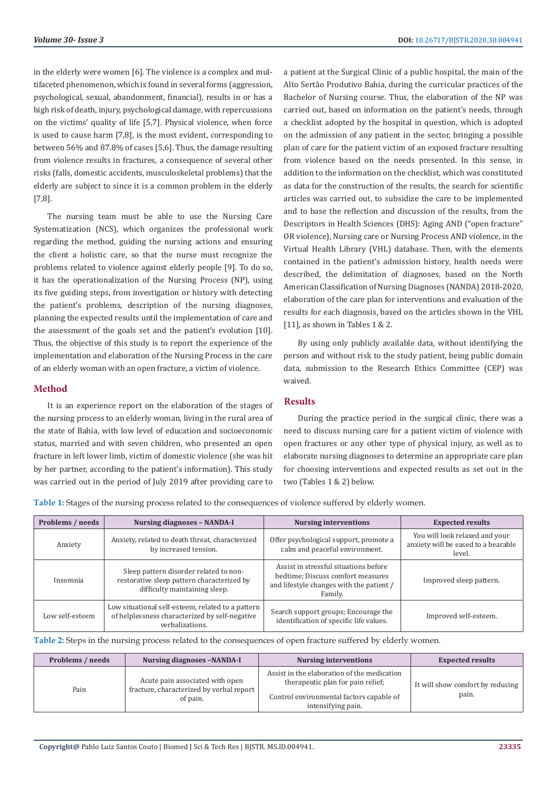in the elderly were women [6]. The violence is a complex and multifaceted phenomenon, which is found in several forms (aggression, psychological, sexual, abandonment, financial), results in or has a high risk of death, injury, psychological damage, with repercussions on the victims' quality of life [5,7]. Physical violence, when force is used to cause harm [7,8], is the most evident, corresponding to between 56% and 87.8% of cases [5,6]. Thus, the damage resulting from violence results in fractures, a consequence of several other risks (falls, domestic accidents, musculoskeletal problems) that the elderly are subject to since it is a common problem in the elderly [7,8].

The nursing team must be able to use the Nursing Care Systematization (NCS), which organizes the professional work regarding the method, guiding the nursing actions and ensuring the client a holistic care, so that the nurse must recognize the problems related to violence against elderly people [9]. To do so, it has the operationalization of the Nursing Process (NP), using its five guiding steps, from investigation or history with detecting the patient's problems, description of the nursing diagnoses, planning the expected results until the implementation of care and the assessment of the goals set and the patient's evolution [10]. Thus, the objective of this study is to report the experience of the implementation and elaboration of the Nursing Process in the care of an elderly woman with an open fracture, a victim of violence.

### **Method**

It is an experience report on the elaboration of the stages of the nursing process to an elderly woman, living in the rural area of the state of Bahia, with low level of education and socioeconomic status, married and with seven children, who presented an open fracture in left lower limb, victim of domestic violence (she was hit by her partner, according to the patient's information). This study was carried out in the period of July 2019 after providing care to

a patient at the Surgical Clinic of a public hospital, the main of the Alto Sertão Produtivo Bahia, during the curricular practices of the Bachelor of Nursing course. Thus, the elaboration of the NP was carried out, based on information on the patient's needs, through a checklist adopted by the hospital in question, which is adopted on the admission of any patient in the sector, bringing a possible plan of care for the patient victim of an exposed fracture resulting from violence based on the needs presented. In this sense, in addition to the information on the checklist, which was constituted as data for the construction of the results, the search for scientific articles was carried out, to subsidize the care to be implemented and to base the reflection and discussion of the results, from the Descriptors in Health Sciences (DHS): Aging AND ("open fracture" OR violence), Nursing care or Nursing Process AND violence, in the Virtual Health Library (VHL) database. Then, with the elements contained in the patient's admission history, health needs were described, the delimitation of diagnoses, based on the North American Classification of Nursing Diagnoses (NANDA) 2018-2020, elaboration of the care plan for interventions and evaluation of the results for each diagnosis, based on the articles shown in the VHL [11], as shown in Tables 1 & 2.

By using only publicly available data, without identifying the person and without risk to the study patient, being public domain data, submission to the Research Ethics Committee (CEP) was waived.

### **Results**

During the practice period in the surgical clinic, there was a need to discuss nursing care for a patient victim of violence with open fractures or any other type of physical injury, as well as to elaborate nursing diagnoses to determine an appropriate care plan for choosing interventions and expected results as set out in the two (Tables 1 & 2) below.

**Table 1:** Stages of the nursing process related to the consequences of violence suffered by elderly women.

| Problems / needs | <b>Nursing diagnoses - NANDA-I</b>                                                                                     | <b>Nursing interventions</b>                                                                                                      | <b>Expected results</b>                                                         |
|------------------|------------------------------------------------------------------------------------------------------------------------|-----------------------------------------------------------------------------------------------------------------------------------|---------------------------------------------------------------------------------|
| Anxiety          | Anxiety, related to death threat, characterized<br>by increased tension.                                               | Offer psychological support, promote a<br>calm and peaceful environment.                                                          | You will look relaxed and your<br>anxiety will be eased to a bearable<br>level. |
| Insomnia         | Sleep pattern disorder related to non-<br>restorative sleep pattern characterized by<br>difficulty maintaining sleep.  | Assist in stressful situations before<br>bedtime; Discuss comfort measures<br>and lifestyle changes with the patient /<br>Family. | Improved sleep pattern.                                                         |
| Low self-esteem  | Low situational self-esteem, related to a pattern<br>of helplessness characterized by self-negative<br>verbalizations. | Search support groups; Encourage the<br>identification of specific life values.                                                   | Improved self-esteem.                                                           |

**Table 2:** Steps in the nursing process related to the consequences of open fracture suffered by elderly women.

| Problems / needs | <b>Nursing diagnoses -NANDA-I</b>                                                       | <b>Nursing interventions</b>                                                                                                                       | <b>Expected results</b>                   |
|------------------|-----------------------------------------------------------------------------------------|----------------------------------------------------------------------------------------------------------------------------------------------------|-------------------------------------------|
| Pain             | Acute pain associated with open<br>fracture, characterized by verbal report<br>of pain. | Assist in the elaboration of the medication<br>therapeutic plan for pain relief;<br>Control environmental factors capable of<br>intensifying pain. | It will show comfort by reducing<br>pain. |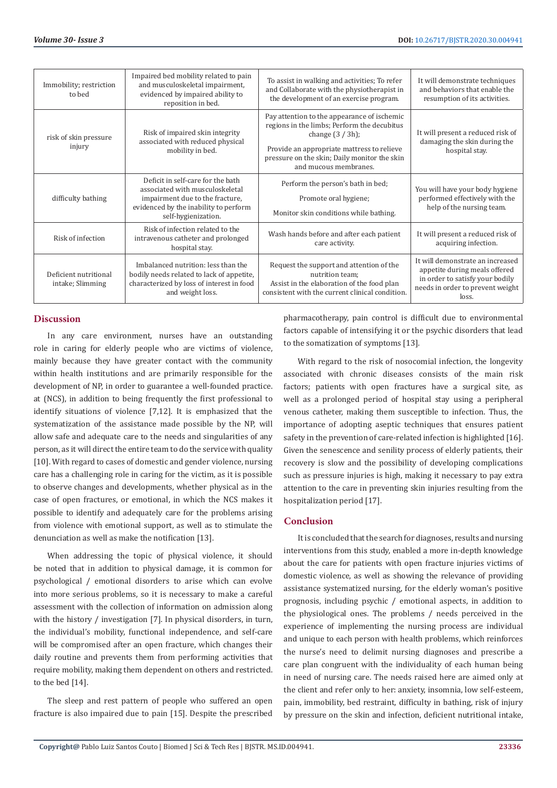| Immobility; restriction<br>to bed         | Impaired bed mobility related to pain<br>and musculoskeletal impairment,<br>evidenced by impaired ability to<br>reposition in bed.                                      | To assist in walking and activities; To refer<br>and Collaborate with the physiotherapist in<br>the development of an exercise program.                                                                                                  | It will demonstrate techniques<br>and behaviors that enable the<br>resumption of its activities.                                                  |
|-------------------------------------------|-------------------------------------------------------------------------------------------------------------------------------------------------------------------------|------------------------------------------------------------------------------------------------------------------------------------------------------------------------------------------------------------------------------------------|---------------------------------------------------------------------------------------------------------------------------------------------------|
| risk of skin pressure<br>injury           | Risk of impaired skin integrity<br>associated with reduced physical<br>mobility in bed.                                                                                 | Pay attention to the appearance of ischemic<br>regions in the limbs; Perform the decubitus<br>change $(3 / 3h)$ ;<br>Provide an appropriate mattress to relieve<br>pressure on the skin; Daily monitor the skin<br>and mucous membranes. | It will present a reduced risk of<br>damaging the skin during the<br>hospital stay.                                                               |
| difficulty bathing                        | Deficit in self-care for the bath<br>associated with musculoskeletal<br>impairment due to the fracture,<br>evidenced by the inability to perform<br>self-hygienization. | Perform the person's bath in bed;<br>Promote oral hygiene;<br>Monitor skin conditions while bathing.                                                                                                                                     | You will have your body hygiene<br>performed effectively with the<br>help of the nursing team.                                                    |
| Risk of infection                         | Risk of infection related to the<br>intravenous catheter and prolonged<br>hospital stay.                                                                                | Wash hands before and after each patient<br>care activity.                                                                                                                                                                               | It will present a reduced risk of<br>acquiring infection.                                                                                         |
| Deficient nutritional<br>intake; Slimming | Imbalanced nutrition: less than the<br>bodily needs related to lack of appetite,<br>characterized by loss of interest in food<br>and weight loss.                       | Request the support and attention of the<br>nutrition team;<br>Assist in the elaboration of the food plan<br>consistent with the current clinical condition.                                                                             | It will demonstrate an increased<br>appetite during meals offered<br>in order to satisfy your bodily<br>needs in order to prevent weight<br>loss. |

# **Discussion**

In any care environment, nurses have an outstanding role in caring for elderly people who are victims of violence, mainly because they have greater contact with the community within health institutions and are primarily responsible for the development of NP, in order to guarantee a well-founded practice. at (NCS), in addition to being frequently the first professional to identify situations of violence [7,12]. It is emphasized that the systematization of the assistance made possible by the NP, will allow safe and adequate care to the needs and singularities of any person, as it will direct the entire team to do the service with quality [10]. With regard to cases of domestic and gender violence, nursing care has a challenging role in caring for the victim, as it is possible to observe changes and developments, whether physical as in the case of open fractures, or emotional, in which the NCS makes it possible to identify and adequately care for the problems arising from violence with emotional support, as well as to stimulate the denunciation as well as make the notification [13].

When addressing the topic of physical violence, it should be noted that in addition to physical damage, it is common for psychological / emotional disorders to arise which can evolve into more serious problems, so it is necessary to make a careful assessment with the collection of information on admission along with the history / investigation [7]. In physical disorders, in turn, the individual's mobility, functional independence, and self-care will be compromised after an open fracture, which changes their daily routine and prevents them from performing activities that require mobility, making them dependent on others and restricted. to the bed [14].

The sleep and rest pattern of people who suffered an open fracture is also impaired due to pain [15]. Despite the prescribed pharmacotherapy, pain control is difficult due to environmental factors capable of intensifying it or the psychic disorders that lead to the somatization of symptoms [13].

With regard to the risk of nosocomial infection, the longevity associated with chronic diseases consists of the main risk factors; patients with open fractures have a surgical site, as well as a prolonged period of hospital stay using a peripheral venous catheter, making them susceptible to infection. Thus, the importance of adopting aseptic techniques that ensures patient safety in the prevention of care-related infection is highlighted [16]. Given the senescence and senility process of elderly patients, their recovery is slow and the possibility of developing complications such as pressure injuries is high, making it necessary to pay extra attention to the care in preventing skin injuries resulting from the hospitalization period [17].

# **Conclusion**

It is concluded that the search for diagnoses, results and nursing interventions from this study, enabled a more in-depth knowledge about the care for patients with open fracture injuries victims of domestic violence, as well as showing the relevance of providing assistance systematized nursing, for the elderly woman's positive prognosis, including psychic / emotional aspects, in addition to the physiological ones. The problems / needs perceived in the experience of implementing the nursing process are individual and unique to each person with health problems, which reinforces the nurse's need to delimit nursing diagnoses and prescribe a care plan congruent with the individuality of each human being in need of nursing care. The needs raised here are aimed only at the client and refer only to her: anxiety, insomnia, low self-esteem, pain, immobility, bed restraint, difficulty in bathing, risk of injury by pressure on the skin and infection, deficient nutritional intake,